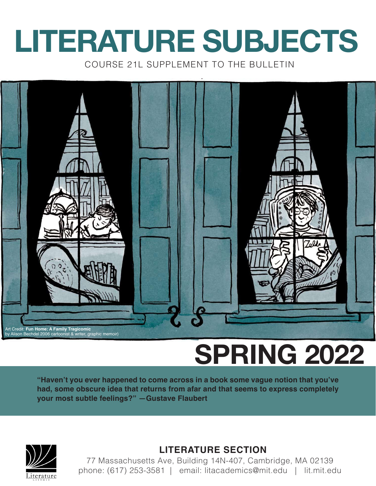# **LITERATURE SUBJECTS**

COURSE 21L SUPPLEMENT TO THE BULLETIN



## **SPRING 2022**

**"Haven't you ever happened to come across in a book some vague notion that you've had, some obscure idea that returns from afar and that seems to express completely your most subtle feelings?" —Gustave Flaubert**



### **LITERATURE SECTION**

77 Massachusetts Ave, Building 14N-407, Cambridge, MA 02139 phone: (617) 253-3581 | email: litacademics@mit.edu | lit.mit.edu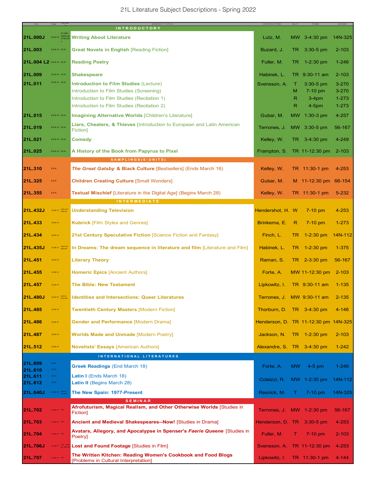|                         |                                     | SUBJECT TITLE<br><b>INTRODUCTORY</b>                                                                                                                                                    | <b>INSTRUCTOR</b>                    | $\mathbf{D}$ A $\mathbf{Y}$ | TIME                                         | ROOM                                             |
|-------------------------|-------------------------------------|-----------------------------------------------------------------------------------------------------------------------------------------------------------------------------------------|--------------------------------------|-----------------------------|----------------------------------------------|--------------------------------------------------|
| 21L.000J                | CI-HW<br>3-0-9 H same as<br>21W.041 | <b>Writing About Literature</b>                                                                                                                                                         | Lutz, M.                             |                             | MW 3-4:30 pm                                 | 14N-325                                          |
| 21L.003                 | 3-0-9 H CI-H                        | <b>Great Novels in English [Reading Fiction]</b>                                                                                                                                        | Buzard, J.                           | TR.                         | $3:30-5$ pm                                  | $2 - 103$                                        |
| 21L.004 L2 3-0-9 H CI-H |                                     | <b>Reading Poetry</b>                                                                                                                                                                   | Fuller, M.                           | TR.                         | $1-2:30$ pm                                  | $1 - 246$                                        |
| 21L.009                 | 3-0-9 H CI-H                        | <b>Shakespeare</b>                                                                                                                                                                      | Habinek, L.                          |                             | TR 9:30-11 am                                | $2 - 103$                                        |
| 21L.011                 | 3-3-6 A CI-H                        | <b>Introduction to Film Studies (Lecture)</b><br>Introduction to Film Studies (Screening)<br>Introduction to Film Studies (Recitation 1)<br>Introduction to Film Studies (Recitation 2) | Svensson, A.                         | т<br>м<br>R.<br>R           | $3:30-5$ pm<br>7-10 pm<br>$3-4pm$<br>$4-5pm$ | $3 - 270$<br>$3 - 270$<br>$1 - 273$<br>$1 - 273$ |
| 21L.015                 | 3-0-9 H CI-H                        | <b>Imagining Alternative Worlds [Children's Literature]</b>                                                                                                                             | Gubar, M.                            |                             | MW $1:30-3$ pm                               | 4-257                                            |
| 21L.019                 | 3-0-9 H CI-H                        | <b>Liars, Cheaters, &amp; Thieves</b> [Introduction to European and Latin American<br>Fiction]                                                                                          | Terrones, J.                         |                             | MW 3:30-5 pm                                 | 56-167                                           |
| 21L.021                 | 3-0-9 H CI-H                        | <b>Comedy</b>                                                                                                                                                                           | Kelley, W.                           |                             | TR 3-4:30 pm                                 | 4-249                                            |
| 21L.025                 | 3-0-9 H CI-H                        | A History of the Book from Papyrus to Pixel                                                                                                                                             | Frampton, S.                         |                             | TR 11-12:30 pm                               | $2 - 103$                                        |
| 21L.310                 | $2 - 0 - 4$                         | SAMPLINGS(6-UNITS)<br>The Great Gatsby & Black Culture [Bestsellers] (Ends March 18)                                                                                                    | Kelley, W.                           |                             | TR 11:30-1 pm                                | $4 - 253$                                        |
| 21L.325                 | $2 - 0 - 4$                         | <b>Children Creating Culture [Small Wonders]</b>                                                                                                                                        | Gubar, M.                            |                             | M 11-12:30 pm 66-154                         |                                                  |
| 21L.355                 | $2 - 0 - 4$                         | <b>Textual Mischief [Literature in the Digital Age] (Begins March 28)</b>                                                                                                               | Kelley, W.                           |                             | TR 11:30-1 pm                                | $5 - 232$                                        |
| 21L.432J                | 3-0-9 H 2MS.915                     | <b>INTERMEDIATE</b><br><b>Understanding Television</b>                                                                                                                                  | Hendershot, H. W.                    |                             | $7 - 10$ pm                                  | $4 - 253$                                        |
| 21L.433                 | $3-0-9$ H                           | <b>Kubrick [Film Styles and Genres]</b>                                                                                                                                                 | Brinkema, E.                         | R.                          | $7-10$ pm                                    | $1 - 273$                                        |
| 21L.434                 | $3-0-9$ H                           | 21st Century Speculative Fiction [Science Fiction and Fantasy]                                                                                                                          | Finch, L.                            | TR.                         | $1 - 2:30$ pm                                | 14N-112                                          |
| 21L.435J                | 3-3-6 H CMS.840                     | In Dreams: The dream sequence in literature and film [Literature and Film]                                                                                                              | Habinek, L.                          | TR.                         | $1 - 2:30$ pm                                | $1 - 375$                                        |
| 21L.451                 | $3-0-9$ H                           | <b>Literary Theory</b>                                                                                                                                                                  | Raman, S.                            |                             | TR 2-3:30 pm                                 | 56-167                                           |
| 21L.455                 | $3-0-9$ H                           | <b>Homeric Epics [Ancient Authors]</b>                                                                                                                                                  | Forte, A.                            |                             | MW 11-12:30 pm                               | $2 - 103$                                        |
| 21L.457                 | $3-0-9$ H                           | <b>The Bible: New Testament</b>                                                                                                                                                         | Lipkowitz, I.                        |                             | TR 9:30-11 am                                | $1 - 135$                                        |
| 21L.480J                | 3-0-9 H WGS.245                     | <b>Identities and Intersections: Queer Literatures</b>                                                                                                                                  | Terrones. J. MW 9:30-11 am           |                             |                                              | $2 - 135$                                        |
| 21L.485                 | $3-0-9$ H                           | <b>Twentieth Century Masters [Modern Fiction]</b>                                                                                                                                       | Thorburn, D.                         |                             | TR 3-4:30 pm                                 | 4-146                                            |
| 21L.486                 | $3-0-9$ A                           | <b>Gender and Performance [Modern Drama]</b>                                                                                                                                            | Henderson, D. TR 11-12:30 pm 14N-325 |                             |                                              |                                                  |
| 21L.487                 | $3-0-9$ H                           | <b>Worlds Made and Unmade [Modern Poetry]</b>                                                                                                                                           | Jackson, N.                          | TR.                         | $1-2:30$ pm                                  | $2 - 103$                                        |
| 21L.512                 | $3-0-9$ H                           | <b>Novelists' Essays [American Authors]</b>                                                                                                                                             | Alexandre, S. TR 3-4:30 pm           |                             |                                              | $1 - 242$                                        |
|                         |                                     | INTERNATIONAL LITERATURES                                                                                                                                                               |                                      |                             |                                              |                                                  |
| 21L.609<br>21L.610      | $2-0-4$<br>$2-0-4$                  | <b>Greek Readings (End March 18)</b>                                                                                                                                                    | Forte, A.                            | <b>MW</b>                   | $4-5$ pm                                     | $1 - 246$                                        |
| 21L.611                 | $3-0-3$                             | Latin I (Ends March 18)                                                                                                                                                                 | Colaizzi, R.                         |                             | MW 1-2:30 pm                                 | 14N-112                                          |
| 21L.612<br>21L.640J     | $3-0-3$<br>3-0-9 H same as          | <b>Latin II</b> (Begins March 28)<br>The New Spain: 1977-Present                                                                                                                        | Resnick, M.                          | T.                          | $7-10$ pm                                    | 14N-325                                          |
|                         |                                     | <b>SEMINAR</b>                                                                                                                                                                          |                                      |                             |                                              |                                                  |
| 21L.702                 | 3-0-9 H CI-M                        | Afrofuturism, Magical Realism, and Other Otherwise Worlds [Studies in<br>Fiction]                                                                                                       | Terrones, J. MW 1-2:30 pm            |                             |                                              | 56-167                                           |
| 21L.703                 | 3-0-9 H CI-M                        | Ancient and Medieval Shakespeares--Now! [Studies in Drama]                                                                                                                              | Henderson, D. TR                     |                             | $3:30-5$ pm                                  | $4 - 253$                                        |
| 21L.704                 | 3-0-9 H CI-M                        | <b>Avatars, Allegory, and Apocalypse in Spenser's Faerie Queene</b> [Studies in<br>Poetry]                                                                                              | Fuller, M.                           | т.                          | $7-10$ pm                                    | $2 - 103$                                        |
| 21L.706J                | 3-3-6 H CI-M - meets                | Lost and Found Footage [Studies in Film]                                                                                                                                                | Svensson, A. TR 11-12:30 pm          |                             |                                              | $4 - 253$                                        |
| 21L.707                 | 3-0-9 H CI-M                        | The Written Kitchen: Reading Women's Cookbook and Food Blogs<br>[Problems in Cultural Interpretation]                                                                                   | Lipkowitz, I.                        |                             | TR 11:30-1 pm                                | $4 - 144$                                        |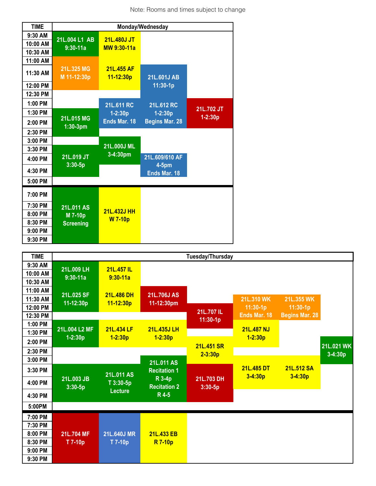Note: Rooms and times subject to change

| <b>TIME</b> | Monday/Wednesday          |                             |                       |             |
|-------------|---------------------------|-----------------------------|-----------------------|-------------|
| 9:30 AM     | 21L.004 L1 AB             | 21L.480J JT                 |                       |             |
| 10:00 AM    | $9:30-11a$                | MW 9:30-11a                 |                       |             |
| 10:30 AM    |                           |                             |                       |             |
| 11:00 AM    |                           |                             |                       |             |
| 11:30 AM    | 21L.325 MG<br>M 11-12:30p | 21L.455 AF<br>$11 - 12:30p$ | 21L.601J AB           |             |
| 12:00 PM    |                           |                             | 11:30-1p              |             |
| 12:30 PM    |                           |                             |                       |             |
| 1:00 PM     |                           | 21L.611 RC                  | 21L.612 RC            |             |
| 1:30 PM     |                           | $1 - 2:30p$                 | $1 - 2:30p$           | 21L.702 JT  |
| 2:00 PM     | 21L.015 MG<br>$1:30-3$ pm | Ends Mar. 18                | <b>Begins Mar. 28</b> | $1 - 2:30p$ |
| 2:30 PM     |                           |                             |                       |             |
| 3:00 PM     |                           | 21L.000J ML                 |                       |             |
| 3:30 PM     |                           | 3-4:30pm                    |                       |             |
| 4:00 PM     | 21L.019 JT                |                             | 21L.609/610 AF        |             |
| 4:30 PM     | $3:30 - 5p$               |                             | 4-5pm<br>Ends Mar. 18 |             |
| 5:00 PM     |                           |                             |                       |             |
| 7:00 PM     |                           |                             |                       |             |
| 7:30 PM     | 21L.011 AS                |                             |                       |             |
| 8:00 PM     | M 7-10p                   | <b>21L.432J HH</b>          |                       |             |
| 8:30 PM     | <b>Screening</b>          | <b>W</b> 7-10p              |                       |             |
| 9:00 PM     |                           |                             |                       |             |
| 9:30 PM     |                           |                             |                       |             |

| <b>TIME</b>                                         |                              |                             |                                   | Tuesday/Thursday          |                           |                          |                         |
|-----------------------------------------------------|------------------------------|-----------------------------|-----------------------------------|---------------------------|---------------------------|--------------------------|-------------------------|
| 9:30 AM<br>10:00 AM<br>10:30 AM                     | 21L.009 LH<br>$9:30-11a$     | 21L.457 IL<br>$9:30 - 11a$  |                                   |                           |                           |                          |                         |
| 11:00 AM<br>11:30 AM<br>12:00 PM                    | 21L.025 SF<br>11-12:30p      | 21L.486 DH<br>$11 - 12:30p$ | 21L.706J AS<br>11-12:30pm         | 21L.707 IL                | 21L.310 WK<br>$11:30-1p$  | 21L.355 WK<br>$11:30-1p$ |                         |
| 12:30 PM<br>1:00 PM                                 |                              |                             |                                   | 11:30-1p                  | Ends Mar. 18              | <b>Begins Mar. 28</b>    |                         |
| 1:30 PM<br>2:00 PM                                  | 21L.004 L2 MF<br>$1 - 2:30p$ | 21L.434 LF<br>$1 - 2:30p$   | 21L.435J LH<br>$1 - 2:30p$        |                           | 21L.487 NJ<br>$1 - 2:30p$ |                          |                         |
| 2:30 PM<br>3:00 PM                                  |                              |                             |                                   | 21L.451 SR<br>$2 - 3:30p$ |                           |                          | 21L.021 WK<br>$3-4:30p$ |
| 3:30 PM                                             |                              | 21L.011 AS                  | 21L.011 AS<br><b>Recitation 1</b> |                           | 21L.485 DT<br>$3-4:30p$   | 21L.512 SA               |                         |
| 4:00 PM                                             | 21L.003 JB<br>$3:30 - 5p$    | T 3:30-5p<br><b>Lecture</b> | R 3-4p<br><b>Recitation 2</b>     | 21L.703 DH<br>$3:30 - 5p$ |                           | $3-4:30p$                |                         |
| 4:30 PM<br>5:00PM                                   |                              |                             | R 4-5                             |                           |                           |                          |                         |
| 7:00 PM                                             |                              |                             |                                   |                           |                           |                          |                         |
| 7:30 PM<br>8:00 PM<br>8:30 PM<br>9:00 PM<br>9:30 PM | 21L.704 MF<br>T 7-10p        | 21L.640J MR<br>T 7-10p      | 21L.433 EB<br><b>R</b> 7-10p      |                           |                           |                          |                         |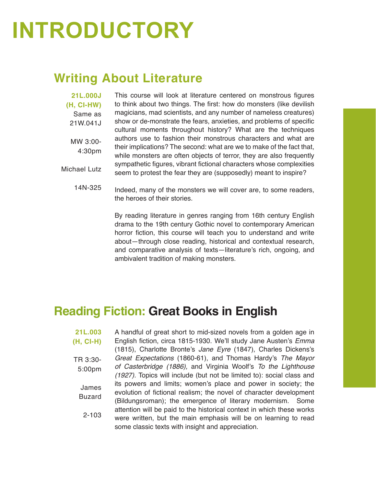## **INTRODUCTORY**

### **Writing About Literature**

**21L.000J (H, CI-HW)**  Same as 21W.041J MW 3:00- 4:30pm Michael Lutz

This course will look at literature centered on monstrous figures to think about two things. The first: how do monsters (like devilish magicians, mad scientists, and any number of nameless creatures) show or de-monstrate the fears, anxieties, and problems of specific cultural moments throughout history? What are the techniques authors use to fashion their monstrous characters and what are their implications? The second: what are we to make of the fact that, while monsters are often objects of terror, they are also frequently sympathetic figures, vibrant fictional characters whose complexities seem to protest the fear they are (supposedly) meant to inspire?

14N-325 Indeed, many of the monsters we will cover are, to some readers, the heroes of their stories.

> By reading literature in genres ranging from 16th century English drama to the 19th century Gothic novel to contemporary American horror fiction, this course will teach you to understand and write about—through close reading, historical and contextual research, and comparative analysis of texts—literature's rich, ongoing, and ambivalent tradition of making monsters.

### **Reading Fiction: Great Books in English**

**21L.003 (H, CI-H)**  TR 3:30- 5:00pm James Buzard 2-103 A handful of great short to mid-sized novels from a golden age in English fiction, circa 1815-1930. We'll study Jane Austen's *Emma*  (1815), Charlotte Bronte's *Jane Eyre* (1847), Charles Dickens's *Great Expectations* (1860-61), and Thomas Hardy's *The Mayor of Casterbridge (1886),* and Virginia Woolf's *To the Lighthouse (1927).* Topics will include (but not be limited to): social class and its powers and limits; women's place and power in society; the evolution of fictional realism; the novel of character development (Bildungsroman); the emergence of literary modernism. Some attention will be paid to the historical context in which these works were written, but the main emphasis will be on learning to read some classic texts with insight and appreciation.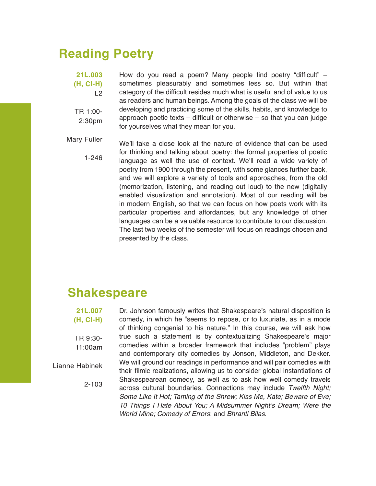### **Reading Poetry**

**21L.003 (H, CI-H)**   $L2$ TR 1:00- 2:30pm How do you read a poem? Many people find poetry "difficult" – sometimes pleasurably and sometimes less so. But within that category of the difficult resides much what is useful and of value to us as readers and human beings. Among the goals of the class we will be developing and practicing some of the skills, habits, and knowledge to approach poetic texts – difficult or otherwise – so that you can judge for yourselves what they mean for you.

Mary Fuller 1-246 We'll take a close look at the nature of evidence that can be used for thinking and talking about poetry: the formal properties of poetic language as well the use of context. We'll read a wide variety of poetry from 1900 through the present, with some glances further back, and we will explore a variety of tools and approaches, from the old (memorization, listening, and reading out loud) to the new (digitally enabled visualization and annotation). Most of our reading will be in modern English, so that we can focus on how poets work with its particular properties and affordances, but any knowledge of other languages can be a valuable resource to contribute to our discussion. The last two weeks of the semester will focus on readings chosen and presented by the class.

### **Shakespeare**

**21L.007 (H, CI-H)** TR 9:30- 11:00am Lianne Habinek 2-103 Dr. Johnson famously writes that Shakespeare's natural disposition is comedy, in which he "seems to repose, or to luxuriate, as in a mode of thinking congenial to his nature." In this course, we will ask how true such a statement is by contextualizing Shakespeare's major comedies within a broader framework that includes "problem" plays and contemporary city comedies by Jonson, Middleton, and Dekker. We will ground our readings in performance and will pair comedies with their filmic realizations, allowing us to consider global instantiations of Shakespearean comedy, as well as to ask how well comedy travels across cultural boundaries. Connections may include *Twelfth Night; Some Like It Hot; Taming of the Shrew; Kiss Me, Kate; Beware of Eve;*  10 Things I Hate About You; A Midsummer Night's Dream; *Were the World Mine; Comedy of Errors*; and *Bhranti Bilas.*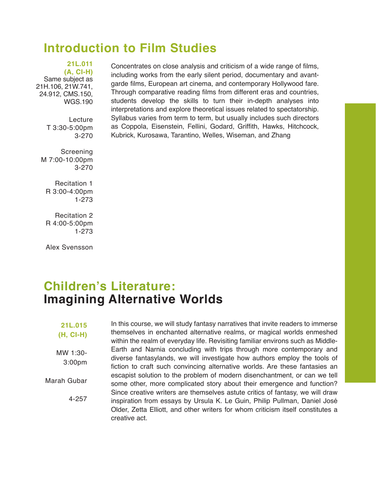### **Introduction to Film Studies**

**21L.011 (A, CI-H)**  Same subject as 21H.106, 21W.741, 24.912, CMS.150, WGS.190

> Lecture T 3:30-5:00pm 3-270

Screening M 7:00-10:00pm 3-270

Recitation 1 R 3:00-4:00pm 1-273

Recitation 2 R 4:00-5:00pm 1-273

Alex Svensson

#### Concentrates on close analysis and criticism of a wide range of films, including works from the early silent period, documentary and avantgarde films, European art cinema, and contemporary Hollywood fare. Through comparative reading films from different eras and countries, students develop the skills to turn their in-depth analyses into interpretations and explore theoretical issues related to spectatorship. Syllabus varies from term to term, but usually includes such directors as Coppola, Eisenstein, Fellini, Godard, Griffith, Hawks, Hitchcock, Kubrick, Kurosawa, Tarantino, Welles, Wiseman, and Zhang

### **Children's Literature: Imagining Alternative Worlds**

#### **21L.015 (H, CI-H)**

MW 1:30- 3:00pm

Marah Gubar

4-257

In this course, we will study fantasy narratives that invite readers to immerse themselves in enchanted alternative realms, or magical worlds enmeshed within the realm of everyday life. Revisiting familiar environs such as Middle-Earth and Narnia concluding with trips through more contemporary and diverse fantasylands, we will investigate how authors employ the tools of fiction to craft such convincing alternative worlds. Are these fantasies an escapist solution to the problem of modern disenchantment, or can we tell some other, more complicated story about their emergence and function? Since creative writers are themselves astute critics of fantasy, we will draw inspiration from essays by Ursula K. Le Guin, Philip Pullman, Daniel José Older, Zetta Elliott, and other writers for whom criticism itself constitutes a creative act.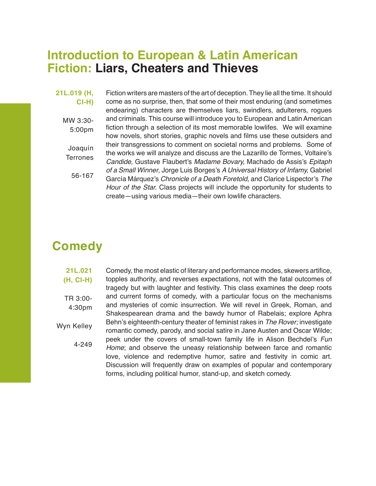### **Introduction to European & Latin American Fiction: Liars, Cheaters and Thieves**

#### **21L.019 (H, CI-H)**

MW 3:30- 5:00pm

Joaquín **Terrones** 

56-167

Fiction writers are masters of the art of deception. They lie all the time. It should come as no surprise, then, that some of their most enduring (and sometimes endearing) characters are themselves liars, swindlers, adulterers, rogues and criminals. This course will introduce you to European and Latin American fiction through a selection of its most memorable lowlifes. We will examine how novels, short stories, graphic novels and films use these outsiders and their transgressions to comment on societal norms and problems. Some of the works we will analyze and discuss are the Lazarillo de Tormes, Voltaire's *Candide,* Gustave Flaubert's *Madame Bovary,* Machado de Assis's *Epitaph of a Small Winner*, Jorge Luis Borges's *A Universal History of Infamy,* Gabriel García Márquez's Chronicle of a Death Foretold, and Clarice Lispector's *The Hour of the Star.* Class projects will include the opportunity for students to create—using various media—their own lowlife characters.

### **Comedy**

#### **21L.021 (H, CI-H)** TR 3:00- 4:30pm Wyn Kelley 4-249 Comedy, the most elastic of literary and performance modes, skewers artifice, topples authority, and reverses expectations, not with the fatal outcomes of tragedy but with laughter and festivity. This class examines the deep roots and current forms of comedy, with a particular focus on the mechanisms and mysteries of comic insurrection. We will revel in Greek, Roman, and Shakespearean drama and the bawdy humor of Rabelais; explore Aphra Behn's eighteenth-century theater of feminist rakes in *The Rover;* investigate romantic comedy, parody, and social satire in Jane Austen and Oscar Wilde; peek under the covers of small-town family life in Alison Bechdel's *Fun Home*; and observe the uneasy relationship between farce and romantic love, violence and redemptive humor, satire and festivity in comic art. Discussion will frequently draw on examples of popular and contemporary forms, including political humor, stand-up, and sketch comedy.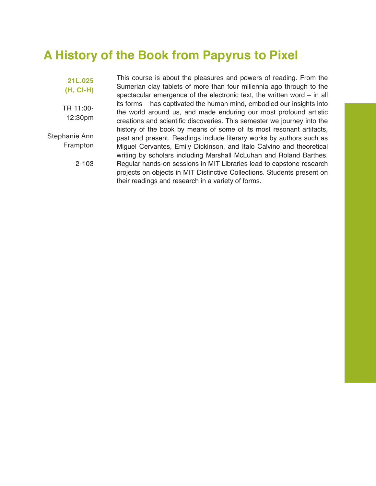### **A History of the Book from Papyrus to Pixel**

**21L.025 (H, CI-H)** 

TR 11:00- 12:30pm

Stephanie Ann Frampton

2-103

This course is about the pleasures and powers of reading. From the Sumerian clay tablets of more than four millennia ago through to the spectacular emergence of the electronic text, the written word – in all its forms – has captivated the human mind, embodied our insights into the world around us, and made enduring our most profound artistic creations and scientific discoveries. This semester we journey into the history of the book by means of some of its most resonant artifacts, past and present. Readings include literary works by authors such as Miguel Cervantes, Emily Dickinson, and Italo Calvino and theoretical writing by scholars including Marshall McLuhan and Roland Barthes. Regular hands-on sessions in MIT Libraries lead to capstone research projects on objects in MIT Distinctive Collections. Students present on their readings and research in a variety of forms.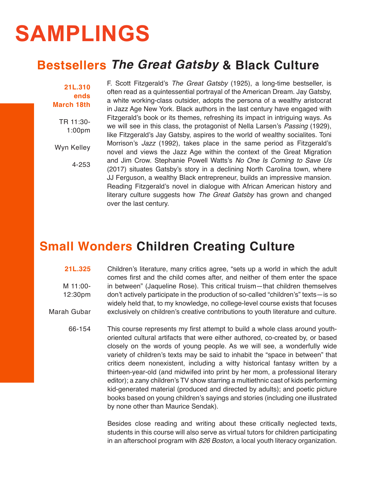## **SAMPLINGS**

### **Bestsellers** *The Great Gatsby* **& Black Culture**

**21L.310 ends March 18th**

> TR 11:30- 1:00pm

Wyn Kelley

4-253

F. Scott Fitzgerald's *The Great Gatsby* (1925), a long-time bestseller, is often read as a quintessential portrayal of the American Dream. Jay Gatsby, a white working-class outsider, adopts the persona of a wealthy aristocrat in Jazz Age New York. Black authors in the last century have engaged with Fitzgerald's book or its themes, refreshing its impact in intriguing ways. As we will see in this class, the protagonist of Nella Larsen's *Passing* (1929), like Fitzgerald's Jay Gatsby, aspires to the world of wealthy socialites. Toni Morrison's *Jazz* (1992), takes place in the same period as Fitzgerald's novel and views the Jazz Age within the context of the Great Migration and Jim Crow. Stephanie Powell Watts's *No One Is Coming to Save Us*  (2017) situates Gatsby's story in a declining North Carolina town, where JJ Ferguson, a wealthy Black entrepreneur, builds an impressive mansion. Reading Fitzgerald's novel in dialogue with African American history and literary culture suggests how *The Great Gatsby* has grown and changed over the last century.

### **Small Wonders Children Creating Culture**

#### **21L.325**

M 11:00- 12:30pm Marah Gubar Children's literature, many critics agree, "sets up a world in which the adult comes first and the child comes after, and neither of them enter the space in between" (Jaqueline Rose). This critical truism—that children themselves don't actively participate in the production of so-called "children's" texts—is so widely held that, to my knowledge, no college-level course exists that focuses exclusively on children's creative contributions to youth literature and culture.

66-154 This course represents my first attempt to build a whole class around youthoriented cultural artifacts that were either authored, co-created by, or based closely on the words of young people. As we will see, a wonderfully wide variety of children's texts may be said to inhabit the "space in between" that critics deem nonexistent, including a witty historical fantasy written by a thirteen-year-old (and midwifed into print by her mom, a professional literary editor); a zany children's TV show starring a multiethnic cast of kids performing kid-generated material (produced and directed by adults); and poetic picture books based on young children's sayings and stories (including one illustrated by none other than Maurice Sendak).

> Besides close reading and writing about these critically neglected texts, students in this course will also serve as virtual tutors for children participating in an afterschool program with *826 Boston*, a local youth literacy organization.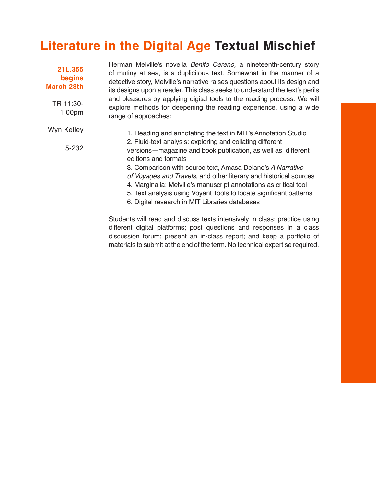### **Literature in the Digital Age Textual Mischief**

| 21L.355<br>begins<br><b>March 28th</b><br>TR 11:30-<br>1:00 <sub>pm</sub> | Herman Melville's novella <i>Benito Cereno</i> , a nineteenth-century story<br>of mutiny at sea, is a duplicitous text. Somewhat in the manner of a<br>detective story, Melville's narrative raises questions about its design and<br>its designs upon a reader. This class seeks to understand the text's perils<br>and pleasures by applying digital tools to the reading process. We will<br>explore methods for deepening the reading experience, using a wide<br>range of approaches:                                                         |
|---------------------------------------------------------------------------|----------------------------------------------------------------------------------------------------------------------------------------------------------------------------------------------------------------------------------------------------------------------------------------------------------------------------------------------------------------------------------------------------------------------------------------------------------------------------------------------------------------------------------------------------|
| Wyn Kelley<br>5-232                                                       | 1. Reading and annotating the text in MIT's Annotation Studio<br>2. Fluid-text analysis: exploring and collating different<br>versions—magazine and book publication, as well as different<br>editions and formats<br>3. Comparison with source text, Amasa Delano's A Narrative<br>of Voyages and Travels, and other literary and historical sources<br>4. Marginalia: Melville's manuscript annotations as critical tool<br>5. Text analysis using Voyant Tools to locate significant patterns<br>6. Digital research in MIT Libraries databases |
|                                                                           | Students will read and discuss texts intensively in class; practice using                                                                                                                                                                                                                                                                                                                                                                                                                                                                          |

Students will read and discuss texts intensively in class; practice using different digital platforms; post questions and responses in a class discussion forum; present an in-class report; and keep a portfolio of materials to submit at the end of the term. No technical expertise required.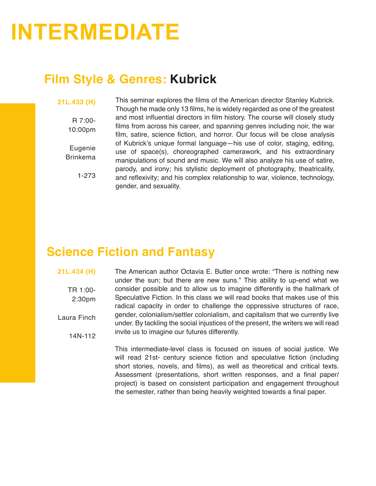## **INTERMEDIATE**

### **Film Style & Genres: Kubrick**

#### **21L.433 (H)**

R 7:00- 10:00pm

Eugenie Brinkema

1-273

This seminar explores the films of the American director Stanley Kubrick. Though he made only 13 films, he is widely regarded as one of the greatest and most influential directors in film history. The course will closely study films from across his career, and spanning genres including noir, the war film, satire, science fiction, and horror. Our focus will be close analysis of Kubrick's unique formal language—his use of color, staging, editing, use of space(s), choreographed camerawork, and his extraordinary manipulations of sound and music. We will also analyze his use of satire, parody, and irony; his stylistic deployment of photography, theatricality, and reflexivity; and his complex relationship to war, violence, technology, gender, and sexuality.

### **Science Fiction and Fantasy**

**21L.434 (H)**

TR 1:00-

2:30pm

14N-112

Laura Finch

under the sun; but there are new suns." This ability to up-end what we consider possible and to allow us to imagine differently is the hallmark of Speculative Fiction. In this class we will read books that makes use of this radical capacity in order to challenge the oppressive structures of race, gender, colonialism/settler colonialism, and capitalism that we currently live under. By tackling the social injustices of the present, the writers we will read invite us to imagine our futures differently.

The American author Octavia E. Butler once wrote: "There is nothing new

This intermediate-level class is focused on issues of social justice. We will read 21st- century science fiction and speculative fiction (including short stories, novels, and films), as well as theoretical and critical texts. Assessment (presentations, short written responses, and a final paper/ project) is based on consistent participation and engagement throughout the semester, rather than being heavily weighted towards a final paper.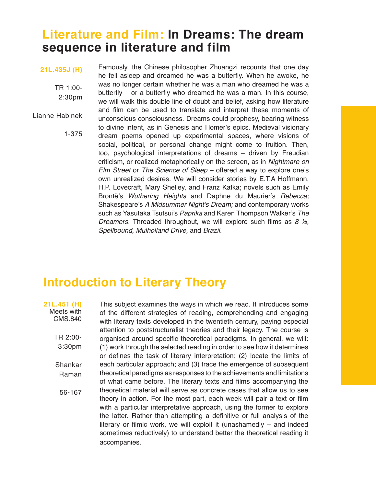### **Literature and Film: In Dreams: The dream sequence in literature and film**

#### **21L.435J (H)**

TR 1:00- 2:30pm

Lianne Habinek

1-375

Famously, the Chinese philosopher Zhuangzi recounts that one day he fell asleep and dreamed he was a butterfly. When he awoke, he was no longer certain whether he was a man who dreamed he was a butterfly – or a butterfly who dreamed he was a man. In this course, we will walk this double line of doubt and belief, asking how literature and film can be used to translate and interpret these moments of unconscious consciousness. Dreams could prophesy, bearing witness to divine intent, as in Genesis and Homer's epics. Medieval visionary dream poems opened up experimental spaces, where visions of social, political, or personal change might come to fruition. Then, too, psychological interpretations of dreams – driven by Freudian criticism, or realized metaphorically on the screen, as in *Nightmare on Elm Street* or *The Science of Sleep* – offered a way to explore one's own unrealized desires. We will consider stories by E.T.A Hoffmann, H.P. Lovecraft, Mary Shelley, and Franz Kafka; novels such as Emily Brontë's *Wuthering Heights* and Daphne du Maurier's *Rebecca;* Shakespeare's A Midsummer Night's Dream; and contemporary works such as Yasutaka Tsutsui's *Paprika* and Karen Thompson Walker's *The*  Dreamers. Threaded throughout, we will explore such films as *8 ½,*  Spellbound, Mulholland Drive, and *Brazil.*

### **Introduction to Literary Theory**

**21L.451 (H)** Meets with CMS.840 TR 2:00- 3:30pm Shankar Raman 56-167

This subject examines the ways in which we read. It introduces some of the different strategies of reading, comprehending and engaging with literary texts developed in the twentieth century, paying especial attention to poststructuralist theories and their legacy. The course is organised around specific theoretical paradigms. In general, we will: (1) work through the selected reading in order to see how it determines or defines the task of literary interpretation; (2) locate the limits of each particular approach; and (3) trace the emergence of subsequent theoretical paradigms as responses to the achievements and limitations of what came before. The literary texts and films accompanying the theoretical material will serve as concrete cases that allow us to see theory in action. For the most part, each week will pair a text or film with a particular interpretative approach, using the former to explore the latter. Rather than attempting a definitive or full analysis of the literary or filmic work, we will exploit it (unashamedly – and indeed sometimes reductively) to understand better the theoretical reading it accompanies.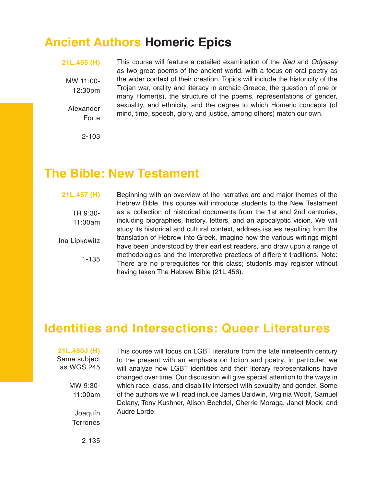### **Ancient Authors Homeric Epics**

**21L.455 (H)**

MW 11:00- 12:30pm

Alexander Forte This course will feature a detailed examination of the *Iliad* and *Odyssey*  as two great poems of the ancient world, with a focus on oral poetry as the wider context of their creation. Topics will include the historicity of the Trojan war, orality and literacy in archaic Greece, the question of one or many Homer(s), the structure of the poems, representations of gender, sexuality, and ethnicity, and the degree to which Homeric concepts (of mind, time, speech, glory, and justice, among others) match our own.

2-103

### **The Bible: New Testament**

#### **21L.457 (H)**

TR 9:30- 11:00am Ina Lipkowitz

1-135

Beginning with an overview of the narrative arc and major themes of the Hebrew Bible, this course will introduce students to the New Testament as a collection of historical documents from the 1st and 2nd centuries, including biographies, history, letters, and an apocalyptic vision. We will study its historical and cultural context, address issues resulting from the translation of Hebrew into Greek, imagine how the various writings might have been understood by their earliest readers, and draw upon a range of methodologies and the interpretive practices of different traditions. Note: There are no prerequisites for this class; students may register without having taken The Hebrew Bible (21L.456).

### **Identities and Intersections: Queer Literatures**

**21L.480J (H)** Same subject as WGS.245

> MW 9:30- 11:00am

Joaquín **Terrones** 

This course will focus on LGBT literature from the late nineteenth century to the present with an emphasis on fiction and poetry. In particular, we will analyze how LGBT identities and their literary representations have changed over time. Our discussion will give special attention to the ways in which race, class, and disability intersect with sexuality and gender. Some of the authors we will read include James Baldwin, Virginia Woolf, Samuel Delany, Tony Kushner, Alison Bechdel, Cherrie Moraga, Janet Mock, and Audre Lorde.

2-135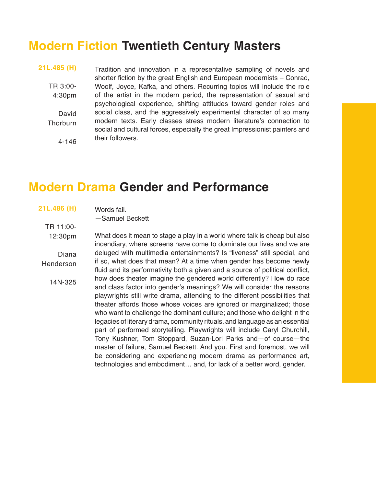### **Modern Fiction Twentieth Century Masters**

**21L.485 (H)** TR 3:00- 4:30pm David **Thorburn** 

4-146

Tradition and innovation in a representative sampling of novels and shorter fiction by the great English and European modernists – Conrad, Woolf, Joyce, Kafka, and others. Recurring topics will include the role of the artist in the modern period, the representation of sexual and psychological experience, shifting attitudes toward gender roles and social class, and the aggressively experimental character of so many modern texts. Early classes stress modern literature's connection to social and cultural forces, especially the great Impressionist painters and their followers.

### **Modern Drama Gender and Performance**

| 21L.486 (H) | Words fail.                                                                                                                                         |
|-------------|-----------------------------------------------------------------------------------------------------------------------------------------------------|
|             | -Samuel Beckett                                                                                                                                     |
| TR 11:00-   |                                                                                                                                                     |
| 12:30pm     | What does it mean to stage a play in a world where talk is cheap but also<br>incendiary, where screens have come to dominate our lives and we are   |
| Diana       | deluged with multimedia entertainments? Is "liveness" still special, and                                                                            |
| Henderson   | if so, what does that mean? At a time when gender has become newly<br>fluid and its performativity both a given and a source of political conflict, |
| 14N-325     | how does theater imagine the gendered world differently? How do race<br>and class factor into gender's meanings? We will consider the reasons       |
|             | playwrights still write drama, attending to the different possibilities that                                                                        |
|             | theater affords those whose voices are ignored or marginalized; those                                                                               |
|             | who want to challenge the dominant culture; and those who delight in the                                                                            |
|             | legacies of literary drama, community rituals, and language as an essential                                                                         |
|             | part of performed storytelling. Playwrights will include Caryl Churchill,                                                                           |
|             | Tony Kushner, Tom Stoppard, Suzan-Lori Parks and-of course-the                                                                                      |
|             | master of failure, Samuel Beckett. And you. First and foremost, we will                                                                             |
|             | be considering and experiencing modern drama as performance art,                                                                                    |
|             | technologies and embodiment and, for lack of a better word, gender.                                                                                 |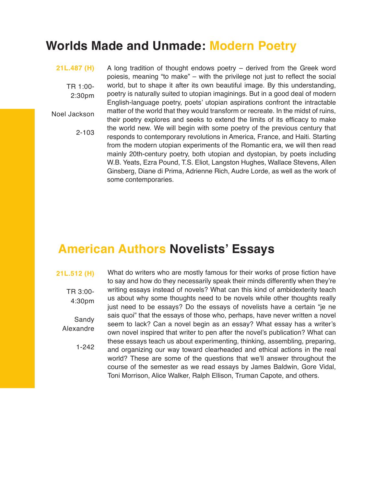### **Worlds Made and Unmade: Modern Poetry**

#### **21L.487 (H)**

TR 1:00- 2:30pm

Noel Jackson

2-103

A long tradition of thought endows poetry – derived from the Greek word poiesis, meaning "to make" – with the privilege not just to reflect the social world, but to shape it after its own beautiful image. By this understanding, poetry is naturally suited to utopian imaginings. But in a good deal of modern English-language poetry, poets' utopian aspirations confront the intractable matter of the world that they would transform or recreate. In the midst of ruins, their poetry explores and seeks to extend the limits of its efficacy to make the world new. We will begin with some poetry of the previous century that responds to contemporary revolutions in America, France, and Haiti. Starting from the modern utopian experiments of the Romantic era, we will then read mainly 20th-century poetry, both utopian and dystopian, by poets including W.B. Yeats, Ezra Pound, T.S. Eliot, Langston Hughes, Wallace Stevens, Allen Ginsberg, Diane di Prima, Adrienne Rich, Audre Lorde, as well as the work of some contemporaries.

### **American Authors Novelists' Essays**

#### **21L.512 (H)**

TR 3:00- 4:30pm Sandy Alexandre

1-242

What do writers who are mostly famous for their works of prose fiction have to say and how do they necessarily speak their minds differently when they're writing essays instead of novels? What can this kind of ambidexterity teach us about why some thoughts need to be novels while other thoughts really just need to be essays? Do the essays of novelists have a certain "je ne sais quoi" that the essays of those who, perhaps, have never written a novel seem to lack? Can a novel begin as an essay? What essay has a writer's own novel inspired that writer to pen after the novel's publication? What can these essays teach us about experimenting, thinking, assembling, preparing, and organizing our way toward clearheaded and ethical actions in the real world? These are some of the questions that we'll answer throughout the course of the semester as we read essays by James Baldwin, Gore Vidal, Toni Morrison, Alice Walker, Ralph Ellison, Truman Capote, and others.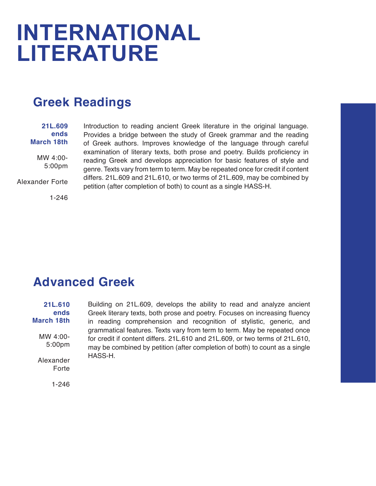## **INTERNATIONAL LITERATURE**

### **Greek Readings**

#### **21L.609 ends March 18th** MW 4:00- 5:00pm

Alexander Forte

1-246

Introduction to reading ancient Greek literature in the original language. Provides a bridge between the study of Greek grammar and the reading of Greek authors. Improves knowledge of the language through careful examination of literary texts, both prose and poetry. Builds proficiency in reading Greek and develops appreciation for basic features of style and genre. Texts vary from term to term. May be repeated once for credit if content differs. 21L.609 and 21L.610, or two terms of 21L.609, may be combined by petition (after completion of both) to count as a single HASS-H.

### **Advanced Greek**

**21L.610 ends March 18th** MW 4:00- 5:00pm Alexander Forte Building on 21L.609, develops the ability to read and analyze ancient Greek literary texts, both prose and poetry. Focuses on increasing fluency in reading comprehension and recognition of stylistic, generic, and grammatical features. Texts vary from term to term. May be repeated once for credit if content differs. 21L.610 and 21L.609, or two terms of 21L.610, may be combined by petition (after completion of both) to count as a single HASS-H.

1-246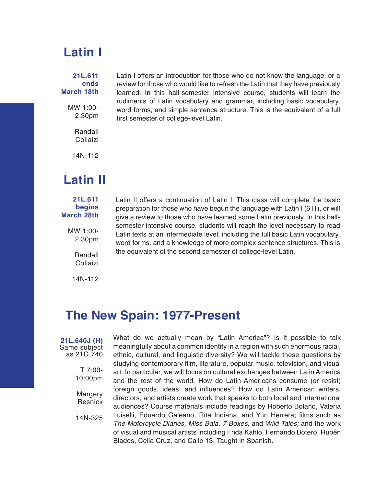### **Latin I**

#### **21L.611 ends March 18th**

MW 1:00- 2:30pm

> Randall Collaizi

14N-112

### **Latin II**

#### **21L.611 begins March 28th**

MW 1:00- 2:30pm

> Randall Collaizi

14N-112

Latin I offers an introduction for those who do not know the language, or a review for those who would like to refresh the Latin that they have previously learned. In this half-semester intensive course, students will learn the rudiments of Latin vocabulary and grammar, including basic vocabulary, word forms, and simple sentence structure. This is the equivalent of a full first semester of college-level Latin.

Latin II offers a continuation of Latin I. This class will complete the basic preparation for those who have begun the language with Latin I (611), or will give a review to those who have learned some Latin previously. In this halfsemester intensive course, students will reach the level necessary to read Latin texts at an intermediate level, including the full basic Latin vocabulary, word forms, and a knowledge of more complex sentence structures. This is

the equivalent of the second semester of college-level Latin.

### **The New Spain: 1977-Present**

**21L.640J (H)** Same subject as 21G.740

> T 7:00- 10:00pm

Margery Resnick

14N-325

What do we actually mean by "Latin America"? Is it possible to talk meaningfully about a common identity in a region with such enormous racial, ethnic, cultural, and linguistic diversity? We will tackle these questions by studying contemporary film, literature, popular music, television, and visual art. In particular, we will focus on cultural exchanges between Latin America and the rest of the world. How do Latin Americans consume (or resist) foreign goods, ideas, and influences? How do Latin American writers, directors, and artists create work that speaks to both local and international audiences? Course materials include readings by Roberto Bolaño, Valeria Luiselli, Eduardo Galeano, Rita Indiana, and Yuri Herrera; films such as The Motorcycle Diaries, Miss Bala, 7 Boxes, and *Wild Tales;* and the work of visual and musical artists including Frida Kahlo, Fernando Botero, Rubén Blades, Celia Cruz, and Calle 13. Taught in Spanish.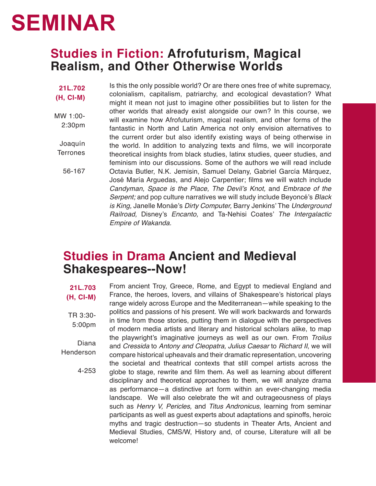## **SEMINAR**

### **Studies in Fiction: Afrofuturism, Magical Realism, and Other Otherwise Worlds**

**21L.702 (H, CI-M)** MW 1:00- 2:30pm Joaquín **Terrones** 56-167 Is this the only possible world? Or are there ones free of white supremacy, colonialism, capitalism, patriarchy, and ecological devastation? What might it mean not just to imagine other possibilities but to listen for the other worlds that already exist alongside our own? In this course, we will examine how Afrofuturism, magical realism, and other forms of the fantastic in North and Latin America not only envision alternatives to the current order but also identify existing ways of being otherwise in the world. In addition to analyzing texts and films, we will incorporate theoretical insights from black studies, latinx studies, queer studies, and feminism into our discussions. Some of the authors we will read include Octavia Butler, N.K. Jemisin, Samuel Delany, Gabriel García Márquez, José María Arguedas, and Alejo Carpentier; films we will watch include Candyman, Space is the Place, The Devil's Knot, and *Embrace of the Serpent;* and pop culture narratives we will study include Beyoncé's *Black is King,* Janelle Monáe's Dirty Computer, Barry Jenkins' The *Underground Railroad,* Disney's *Encanto,* and Ta-Nehisi Coates' *The Intergalactic Empire of Wakanda.*

### **Studies in Drama Ancient and Medieval Shakespeares--Now!**

**21L.703 (H, CI-M)** TR 3:30- 5:00pm Diana Henderson 4-253 From ancient Troy, Greece, Rome, and Egypt to medieval England and France, the heroes, lovers, and villains of Shakespeare's historical plays range widely across Europe and the Mediterranean—while speaking to the politics and passions of his present. We will work backwards and forwards in time from those stories, putting them in dialogue with the perspectives of modern media artists and literary and historical scholars alike, to map the playwright's imaginative journeys as well as our own. From *Troilus* and *Cressida* to *Antony and Cleopatra, Julius Caesar* to *Richard II*, we will compare historical upheavals and their dramatic representation, uncovering the societal and theatrical contexts that still compel artists across the globe to stage, rewrite and film them. As well as learning about different disciplinary and theoretical approaches to them, we will analyze drama as performance—a distinctive art form within an ever-changing media landscape. We will also celebrate the wit and outrageousness of plays such as *Henry V, Pericles,* and *Titus Andronicus*, learning from seminar participants as well as guest experts about adaptations and spinoffs, heroic myths and tragic destruction—so students in Theater Arts, Ancient and Medieval Studies, CMS/W, History and, of course, Literature will all be welcome!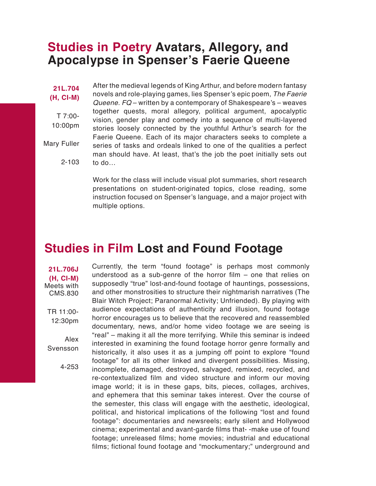### **Studies in Poetry Avatars, Allegory, and Apocalypse in Spenser's Faerie Queene**

**21L.704 (H, CI-M)** T 7:00- 10:00pm Mary Fuller 2-103 After the medieval legends of King Arthur, and before modern fantasy novels and role-playing games, lies Spenser's epic poem, *The Faerie Queene. FQ* – written by a contemporary of Shakespeare's – weaves together quests, moral allegory, political argument, apocalyptic vision, gender play and comedy into a sequence of multi-layered stories loosely connected by the youthful Arthur's search for the Faerie Queene. Each of its major characters seeks to complete a series of tasks and ordeals linked to one of the qualities a perfect man should have. At least, that's the job the poet initially sets out to do…

> Work for the class will include visual plot summaries, short research presentations on student-originated topics, close reading, some instruction focused on Spenser's language, and a major project with multiple options.

### **Studies in Film Lost and Found Footage**

Currently, the term "found footage" is perhaps most commonly understood as a sub-genre of the horror film – one that relies on supposedly "true" lost-and-found footage of hauntings, possessions, and other monstrosities to structure their nightmarish narratives (The Blair Witch Project; Paranormal Activity; Unfriended). By playing with audience expectations of authenticity and illusion, found footage horror encourages us to believe that the recovered and reassembled documentary, news, and/or home video footage we are seeing is "real" – making it all the more terrifying. While this seminar is indeed interested in examining the found footage horror genre formally and historically, it also uses it as a jumping off point to explore "found footage" for all its other linked and divergent possibilities. Missing, incomplete, damaged, destroyed, salvaged, remixed, recycled, and re-contextualized film and video structure and inform our moving image world; it is in these gaps, bits, pieces, collages, archives, and ephemera that this seminar takes interest. Over the course of the semester, this class will engage with the aesthetic, ideological, political, and historical implications of the following "lost and found footage": documentaries and newsreels; early silent and Hollywood cinema; experimental and avant-garde films that- -make use of found footage; unreleased films; home movies; industrial and educational films; fictional found footage and "mockumentary;" underground and

Meets with CMS.830 TR 11:00- 12:30pm

**21L.706J (H, CI-M)**

Alex Svensson

4-253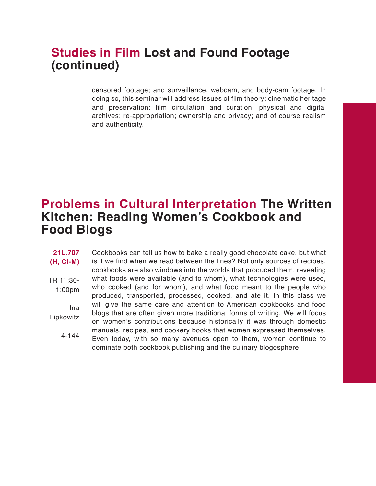### **Studies in Film Lost and Found Footage (continued)**

censored footage; and surveillance, webcam, and body-cam footage. In doing so, this seminar will address issues of film theory; cinematic heritage and preservation; film circulation and curation; physical and digital archives; re-appropriation; ownership and privacy; and of course realism and authenticity.

### **Problems in Cultural Interpretation The Written Kitchen: Reading Women's Cookbook and Food Blogs**

Cookbooks can tell us how to bake a really good chocolate cake, but what is it we find when we read between the lines? Not only sources of recipes, cookbooks are also windows into the worlds that produced them, revealing what foods were available (and to whom), what technologies were used, who cooked (and for whom), and what food meant to the people who produced, transported, processed, cooked, and ate it. In this class we will give the same care and attention to American cookbooks and food blogs that are often given more traditional forms of writing. We will focus on women's contributions because historically it was through domestic manuals, recipes, and cookery books that women expressed themselves. Even today, with so many avenues open to them, women continue to dominate both cookbook publishing and the culinary blogosphere. **21L.707 (H, CI-M)** TR 11:30- 1:00pm Ina Lipkowitz 4-144